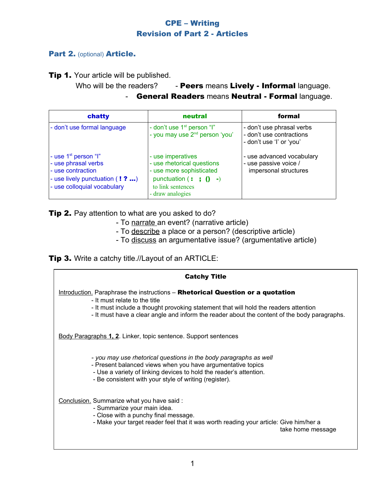# CPE – Writing Revision of Part 2 - Articles

### Part 2. (optional) Article.

**Tip 1.** Your article will be published.

Who will be the readers?  $\blacksquare$  - Peers means Lively - Informal language.

General Readers means Neutral - Formal language.

| chatty                                                                                                                                         | neutral                                                                                                                                                        | formal                                                                            |
|------------------------------------------------------------------------------------------------------------------------------------------------|----------------------------------------------------------------------------------------------------------------------------------------------------------------|-----------------------------------------------------------------------------------|
| - don't use formal language                                                                                                                    | - don't use 1 <sup>st</sup> person "I"<br>- you may use 2 <sup>nd</sup> person 'you'                                                                           | - don't use phrasal verbs<br>- don't use contractions<br>- don't use 'l' or 'you' |
| - use 1 <sup>st</sup> person "I"<br>- use phrasal verbs<br>- use contraction<br>- use lively punctuation (! ? )<br>- use colloquial vocabulary | - use imperatives<br>- use rhetorical questions<br>- use more sophisticated<br>punctuation $($ : $($ $)$ $($ $)$ $ )$<br>to link sentences<br>- draw analogies | - use advanced vocabulary<br>- use passive voice /<br>impersonal structures       |

**Tip 2.** Pay attention to what are you asked to do?

- To narrate an event? (narrative article)
- To describe a place or a person? (descriptive article)
- To discuss an argumentative issue? (argumentative article)

**Tip 3.** Write a catchy title.//Layout of an ARTICLE: